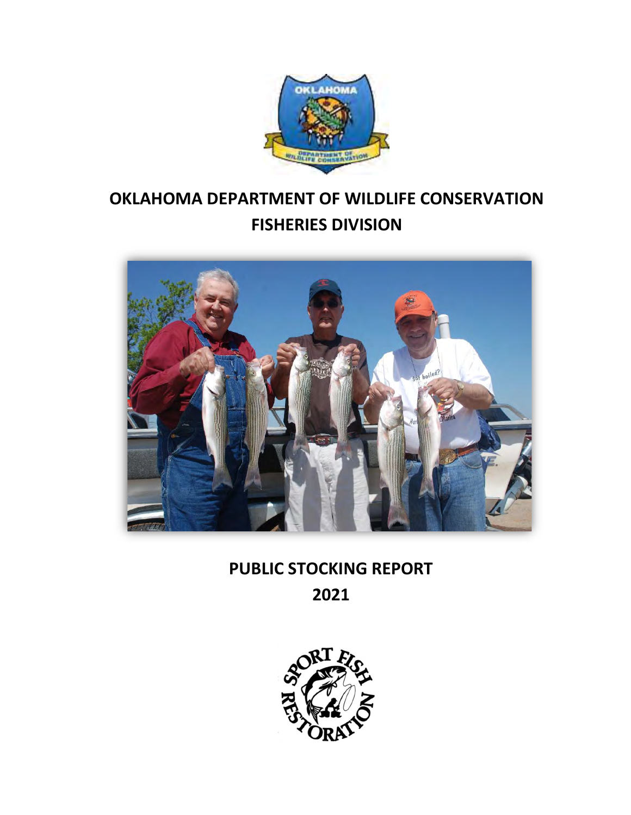

# OKLAHOMA DEPARTMENT OF WILDLIFE CONSERVATION FISHERIES DIVISION



# PUBLIC STOCKING REPORT

2021

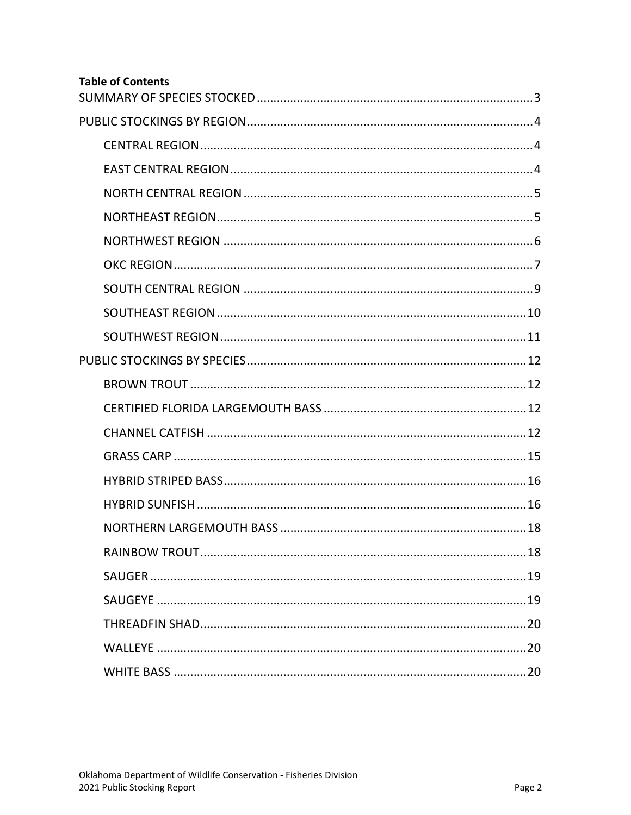## **Table of Contents**

| <b>RAINBOW TROUT</b> | 18 |
|----------------------|----|
|                      |    |
|                      |    |
|                      |    |
|                      |    |
|                      |    |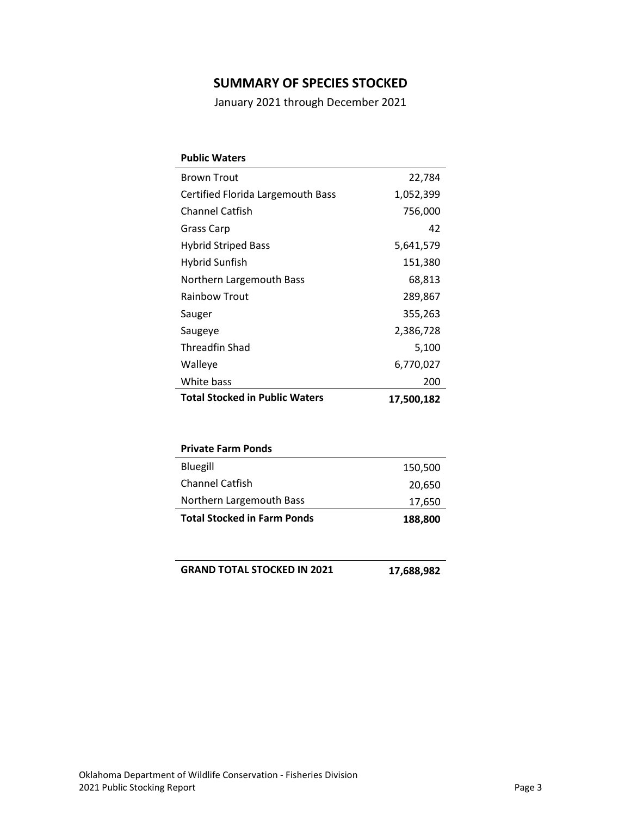### SUMMARY OF SPECIES STOCKED

January 2021 through December 2021

| <b>Public Waters</b>                  |            |
|---------------------------------------|------------|
| <b>Brown Trout</b>                    | 22,784     |
| Certified Florida Largemouth Bass     | 1,052,399  |
| <b>Channel Catfish</b>                | 756,000    |
| Grass Carp                            | 42         |
| <b>Hybrid Striped Bass</b>            | 5,641,579  |
| Hybrid Sunfish                        | 151,380    |
| Northern Largemouth Bass              | 68,813     |
| <b>Rainbow Trout</b>                  | 289,867    |
| Sauger                                | 355,263    |
| Saugeye                               | 2,386,728  |
| Threadfin Shad                        | 5,100      |
| Walleye                               | 6,770,027  |
| White bass                            | 200        |
| <b>Total Stocked in Public Waters</b> | 17,500,182 |

| <b>Private Farm Ponds</b>          |         |
|------------------------------------|---------|
| Bluegill                           | 150,500 |
| <b>Channel Catfish</b>             | 20,650  |
| Northern Largemouth Bass           | 17,650  |
| <b>Total Stocked in Farm Ponds</b> | 188,800 |

**GRAND TOTAL STOCKED IN 2021 17,688,982**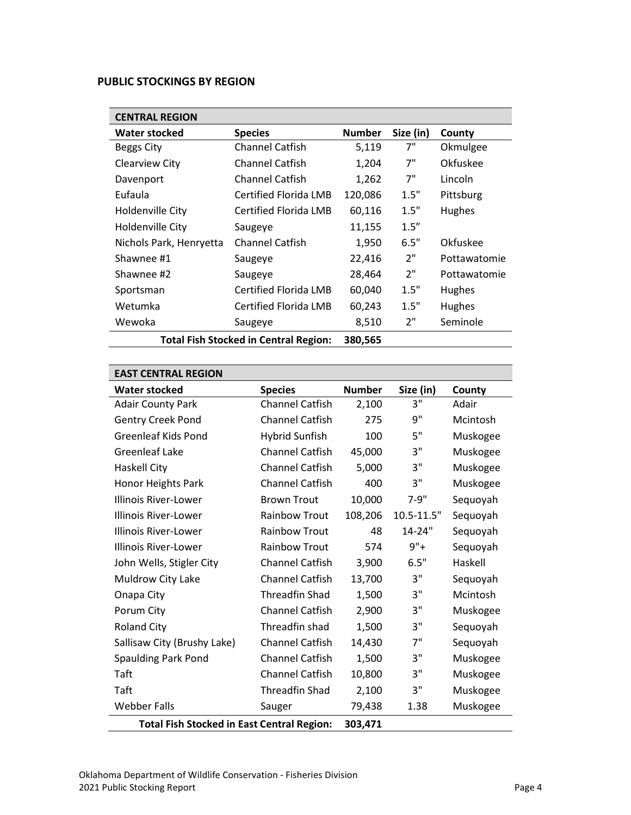#### PUBLIC STOCKINGS BY REGION

| <b>CENTRAL REGION</b>                        |                        |               |           |              |  |  |
|----------------------------------------------|------------------------|---------------|-----------|--------------|--|--|
| <b>Water stocked</b>                         | <b>Species</b>         | <b>Number</b> | Size (in) | County       |  |  |
| <b>Beggs City</b>                            | <b>Channel Catfish</b> | 5,119         | 7"        | Okmulgee     |  |  |
| Clearview City                               | <b>Channel Catfish</b> | 1,204         | 7"        | Okfuskee     |  |  |
| Davenport                                    | <b>Channel Catfish</b> | 1,262         | 7"        | Lincoln      |  |  |
| Eufaula                                      | Certified Florida LMB  | 120,086       | 1.5"      | Pittsburg    |  |  |
| Holdenville City                             | Certified Florida LMB  | 60,116        | 1.5"      | Hughes       |  |  |
| Holdenville City                             | Saugeye                | 11,155        | 1.5''     |              |  |  |
| Nichols Park, Henryetta                      | <b>Channel Catfish</b> | 1,950         | 6.5"      | Okfuskee     |  |  |
| Shawnee #1                                   | Saugeye                | 22,416        | 2"        | Pottawatomie |  |  |
| Shawnee #2                                   | Saugeye                | 28,464        | 2"        | Pottawatomie |  |  |
| Sportsman                                    | Certified Florida LMB  | 60,040        | 1.5"      | Hughes       |  |  |
| Wetumka                                      | Certified Florida LMB  | 60,243        | 1.5"      | Hughes       |  |  |
| Wewoka                                       | Saugeye                | 8,510         | 2"        | Seminole     |  |  |
| <b>Total Fish Stocked in Central Region:</b> | 380,565                |               |           |              |  |  |

| <b>EAST CENTRAL REGION</b>                        |                        |               |            |          |  |  |
|---------------------------------------------------|------------------------|---------------|------------|----------|--|--|
| <b>Water stocked</b>                              | <b>Species</b>         | <b>Number</b> | Size (in)  | County   |  |  |
| <b>Adair County Park</b>                          | <b>Channel Catfish</b> | 2,100         | 3"         | Adair    |  |  |
| <b>Gentry Creek Pond</b>                          | <b>Channel Catfish</b> | 275           | 9"         | Mcintosh |  |  |
| <b>Greenleaf Kids Pond</b>                        | <b>Hybrid Sunfish</b>  | 100           | 5"         | Muskogee |  |  |
| <b>Greenleaf Lake</b>                             | <b>Channel Catfish</b> | 45,000        | 3"         | Muskogee |  |  |
| <b>Haskell City</b>                               | <b>Channel Catfish</b> | 5,000         | 3"         | Muskogee |  |  |
| <b>Honor Heights Park</b>                         | <b>Channel Catfish</b> | 400           | 3"         | Muskogee |  |  |
| Illinois River-Lower                              | <b>Brown Trout</b>     | 10,000        | $7-9"$     | Sequoyah |  |  |
| Illinois River-Lower                              | <b>Rainbow Trout</b>   | 108,206       | 10.5-11.5" | Sequoyah |  |  |
| Illinois River-Lower                              | <b>Rainbow Trout</b>   | 48            | 14-24"     | Sequoyah |  |  |
| <b>Illinois River-Lower</b>                       | <b>Rainbow Trout</b>   | 574           | $9"+$      | Sequoyah |  |  |
| John Wells, Stigler City                          | Channel Catfish        | 3,900         | 6.5"       | Haskell  |  |  |
| Muldrow City Lake                                 | <b>Channel Catfish</b> | 13,700        | 3"         | Sequoyah |  |  |
| Onapa City                                        | <b>Threadfin Shad</b>  | 1,500         | 3"         | Mcintosh |  |  |
| Porum City                                        | <b>Channel Catfish</b> | 2,900         | 3"         | Muskogee |  |  |
| <b>Roland City</b>                                | Threadfin shad         | 1,500         | 3"         | Sequoyah |  |  |
| Sallisaw City (Brushy Lake)                       | <b>Channel Catfish</b> | 14,430        | 7"         | Sequoyah |  |  |
| <b>Spaulding Park Pond</b>                        | <b>Channel Catfish</b> | 1,500         | 3"         | Muskogee |  |  |
| Taft                                              | <b>Channel Catfish</b> | 10,800        | 3"         | Muskogee |  |  |
| Taft                                              | <b>Threadfin Shad</b>  | 2,100         | 3"         | Muskogee |  |  |
| <b>Webber Falls</b>                               | Sauger                 | 79,438        | 1.38       | Muskogee |  |  |
| <b>Total Fish Stocked in East Central Region:</b> | 303,471                |               |            |          |  |  |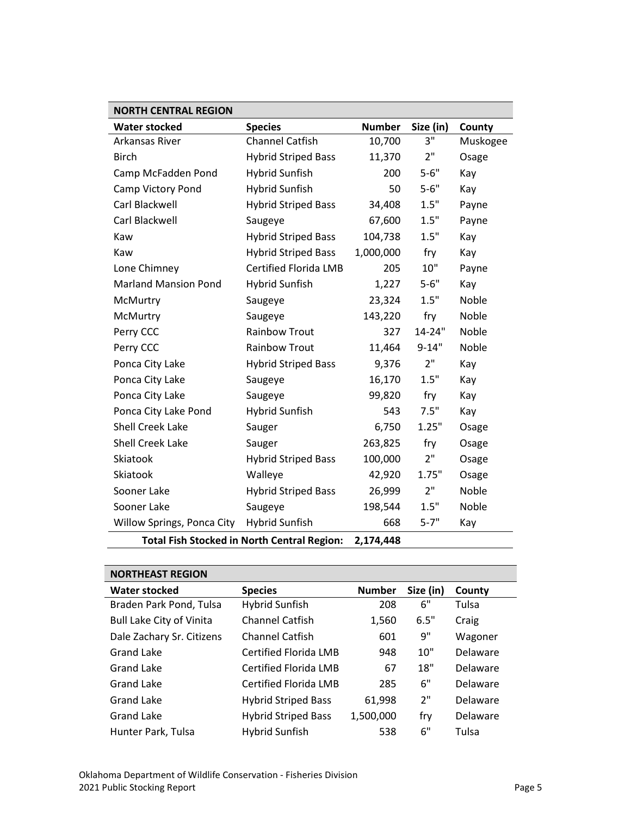| <b>NORTH CENTRAL REGION</b>                        |                              |               |                 |          |  |
|----------------------------------------------------|------------------------------|---------------|-----------------|----------|--|
| <b>Water stocked</b>                               | <b>Species</b>               | <b>Number</b> | Size (in)       | County   |  |
| Arkansas River                                     | <b>Channel Catfish</b>       | 10,700        | 3"              | Muskogee |  |
| <b>Birch</b>                                       | <b>Hybrid Striped Bass</b>   | 11,370        | 2"              | Osage    |  |
| Camp McFadden Pond                                 | <b>Hybrid Sunfish</b>        | 200           | $5 - 6"$        | Kay      |  |
| Camp Victory Pond                                  | <b>Hybrid Sunfish</b>        | 50            | $5 - 6"$        | Kay      |  |
| Carl Blackwell                                     | <b>Hybrid Striped Bass</b>   | 34,408        | 1.5"            | Payne    |  |
| Carl Blackwell                                     | Saugeye                      | 67,600        | 1.5"            | Payne    |  |
| Kaw                                                | <b>Hybrid Striped Bass</b>   | 104,738       | 1.5"            | Kay      |  |
| Kaw                                                | <b>Hybrid Striped Bass</b>   | 1,000,000     | fry             | Kay      |  |
| Lone Chimney                                       | <b>Certified Florida LMB</b> | 205           | 10"             | Payne    |  |
| <b>Marland Mansion Pond</b>                        | <b>Hybrid Sunfish</b>        | 1,227         | $5 - 6"$        | Kay      |  |
| McMurtry                                           | Saugeye                      | 23,324        | 1.5"            | Noble    |  |
| McMurtry                                           | Saugeye                      | 143,220       | fry             | Noble    |  |
| Perry CCC                                          | <b>Rainbow Trout</b>         | 327           | 14-24"          | Noble    |  |
| Perry CCC                                          | <b>Rainbow Trout</b>         | 11,464        | $9 - 14"$       | Noble    |  |
| Ponca City Lake                                    | <b>Hybrid Striped Bass</b>   | 9,376         | 2 <sup>''</sup> | Kay      |  |
| Ponca City Lake                                    | Saugeye                      | 16,170        | 1.5"            | Kay      |  |
| Ponca City Lake                                    | Saugeye                      | 99,820        | fry             | Kay      |  |
| Ponca City Lake Pond                               | <b>Hybrid Sunfish</b>        | 543           | 7.5"            | Kay      |  |
| <b>Shell Creek Lake</b>                            | Sauger                       | 6,750         | 1.25"           | Osage    |  |
| <b>Shell Creek Lake</b>                            | Sauger                       | 263,825       | fry             | Osage    |  |
| Skiatook                                           | <b>Hybrid Striped Bass</b>   | 100,000       | 2"              | Osage    |  |
| Skiatook                                           | Walleye                      | 42,920        | 1.75"           | Osage    |  |
| Sooner Lake                                        | <b>Hybrid Striped Bass</b>   | 26,999        | 2"              | Noble    |  |
| Sooner Lake                                        | Saugeye                      | 198,544       | 1.5"            | Noble    |  |
| Willow Springs, Ponca City                         | <b>Hybrid Sunfish</b>        | 668           | $5 - 7"$        | Kay      |  |
| <b>Total Fish Stocked in North Central Region:</b> | 2,174,448                    |               |                 |          |  |

| <b>NORTHEAST REGION</b>         |                              |               |           |          |  |  |
|---------------------------------|------------------------------|---------------|-----------|----------|--|--|
| <b>Water stocked</b>            | <b>Species</b>               | <b>Number</b> | Size (in) | County   |  |  |
| Braden Park Pond, Tulsa         | <b>Hybrid Sunfish</b>        | 208           | 6"        | Tulsa    |  |  |
| <b>Bull Lake City of Vinita</b> | <b>Channel Catfish</b>       | 1,560         | 6.5"      | Craig    |  |  |
| Dale Zachary Sr. Citizens       | <b>Channel Catfish</b>       | 601           | 9"        | Wagoner  |  |  |
| <b>Grand Lake</b>               | Certified Florida LMB        | 948           | 10"       | Delaware |  |  |
| Grand Lake                      | <b>Certified Florida LMB</b> | 67            | 18"       | Delaware |  |  |
| <b>Grand Lake</b>               | <b>Certified Florida LMB</b> | 285           | 6"        | Delaware |  |  |
| <b>Grand Lake</b>               | <b>Hybrid Striped Bass</b>   | 61,998        | 2"        | Delaware |  |  |
| <b>Grand Lake</b>               | <b>Hybrid Striped Bass</b>   | 1,500,000     | fry       | Delaware |  |  |
| Hunter Park, Tulsa              | Hybrid Sunfish               | 538           | 6"        | Tulsa    |  |  |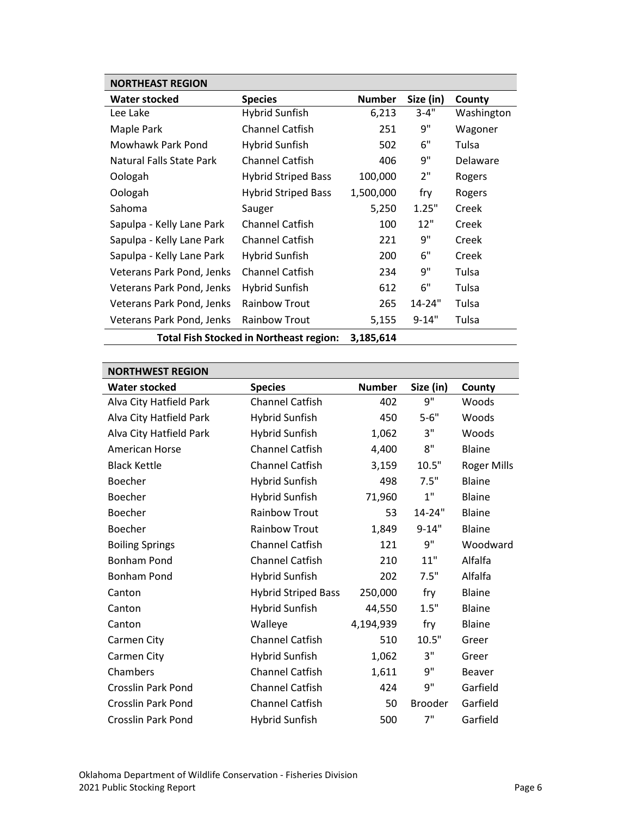| <b>NORTHEAST REGION</b>   |                                         |               |           |            |  |
|---------------------------|-----------------------------------------|---------------|-----------|------------|--|
| <b>Water stocked</b>      | <b>Species</b>                          | <b>Number</b> | Size (in) | County     |  |
| Lee Lake                  | Hybrid Sunfish                          | 6,213         | $3 - 4"$  | Washington |  |
| Maple Park                | <b>Channel Catfish</b>                  | 251           | 9"        | Wagoner    |  |
| Mowhawk Park Pond         | Hybrid Sunfish                          | 502           | 6"        | Tulsa      |  |
| Natural Falls State Park  | <b>Channel Catfish</b>                  | 406           | 9"        | Delaware   |  |
| Oologah                   | <b>Hybrid Striped Bass</b>              | 100,000       | 2"        | Rogers     |  |
| Oologah                   | <b>Hybrid Striped Bass</b>              | 1,500,000     | fry       | Rogers     |  |
| Sahoma                    | Sauger                                  | 5,250         | 1.25"     | Creek      |  |
| Sapulpa - Kelly Lane Park | <b>Channel Catfish</b>                  | 100           | 12"       | Creek      |  |
| Sapulpa - Kelly Lane Park | <b>Channel Catfish</b>                  | 221           | 9"        | Creek      |  |
| Sapulpa - Kelly Lane Park | Hybrid Sunfish                          | 200           | 6"        | Creek      |  |
| Veterans Park Pond, Jenks | <b>Channel Catfish</b>                  | 234           | 9"        | Tulsa      |  |
| Veterans Park Pond, Jenks | Hybrid Sunfish                          | 612           | 6"        | Tulsa      |  |
| Veterans Park Pond, Jenks | <b>Rainbow Trout</b>                    | 265           | 14-24"    | Tulsa      |  |
| Veterans Park Pond, Jenks | <b>Rainbow Trout</b>                    | 5,155         | $9 - 14"$ | Tulsa      |  |
|                           | Total Fish Stocked in Northeast region: | 3.185.614     |           |            |  |

Total Fish Stocked in Northeast region: 3,185,614

| <b>NORTHWEST REGION</b>   |                            |               |                |                    |
|---------------------------|----------------------------|---------------|----------------|--------------------|
| <b>Water stocked</b>      | <b>Species</b>             | <b>Number</b> | Size (in)      | County             |
| Alva City Hatfield Park   | <b>Channel Catfish</b>     | 402           | 9"             | Woods              |
| Alva City Hatfield Park   | Hybrid Sunfish             | 450           | $5 - 6"$       | Woods              |
| Alva City Hatfield Park   | <b>Hybrid Sunfish</b>      | 1,062         | З"             | Woods              |
| American Horse            | <b>Channel Catfish</b>     | 4,400         | 8"             | <b>Blaine</b>      |
| <b>Black Kettle</b>       | Channel Catfish            | 3,159         | 10.5"          | <b>Roger Mills</b> |
| Boecher                   | <b>Hybrid Sunfish</b>      | 498           | 7.5"           | <b>Blaine</b>      |
| <b>Boecher</b>            | <b>Hybrid Sunfish</b>      | 71,960        | 1"             | <b>Blaine</b>      |
| <b>Boecher</b>            | <b>Rainbow Trout</b>       | 53            | 14-24"         | Blaine             |
| <b>Boecher</b>            | <b>Rainbow Trout</b>       | 1,849         | $9 - 14"$      | Blaine             |
| <b>Boiling Springs</b>    | <b>Channel Catfish</b>     | 121           | 9"             | Woodward           |
| <b>Bonham Pond</b>        | <b>Channel Catfish</b>     | 210           | 11"            | Alfalfa            |
| <b>Bonham Pond</b>        | <b>Hybrid Sunfish</b>      | 202           | 7.5"           | Alfalfa            |
| Canton                    | <b>Hybrid Striped Bass</b> | 250,000       | fry            | <b>Blaine</b>      |
| Canton                    | <b>Hybrid Sunfish</b>      | 44,550        | 1.5"           | <b>Blaine</b>      |
| Canton                    | Walleye                    | 4,194,939     | fry            | <b>Blaine</b>      |
| Carmen City               | <b>Channel Catfish</b>     | 510           | 10.5"          | Greer              |
| Carmen City               | <b>Hybrid Sunfish</b>      | 1,062         | 3"             | Greer              |
| Chambers                  | <b>Channel Catfish</b>     | 1,611         | 9"             | <b>Beaver</b>      |
| <b>Crosslin Park Pond</b> | <b>Channel Catfish</b>     | 424           | 9"             | Garfield           |
| Crosslin Park Pond        | <b>Channel Catfish</b>     | 50            | <b>Brooder</b> | Garfield           |
| Crosslin Park Pond        | <b>Hybrid Sunfish</b>      | 500           | 7"             | Garfield           |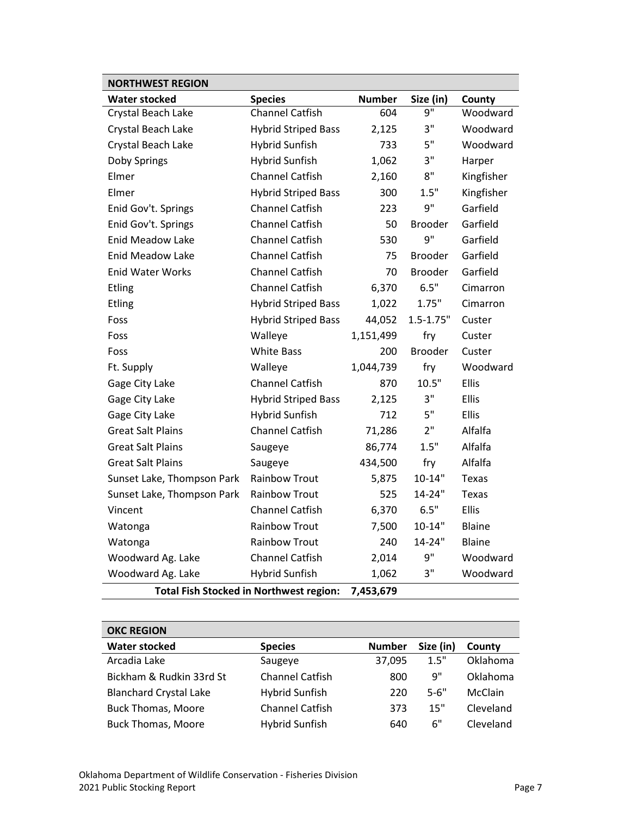| <b>NORTHWEST REGION</b>                        |                            |               |                |               |  |
|------------------------------------------------|----------------------------|---------------|----------------|---------------|--|
| <b>Water stocked</b>                           | <b>Species</b>             | <b>Number</b> | Size (in)      | County        |  |
| Crystal Beach Lake                             | <b>Channel Catfish</b>     | 604           | 9"             | Woodward      |  |
| Crystal Beach Lake                             | <b>Hybrid Striped Bass</b> | 2,125         | 3"             | Woodward      |  |
| Crystal Beach Lake                             | <b>Hybrid Sunfish</b>      | 733           | 5"             | Woodward      |  |
| Doby Springs                                   | <b>Hybrid Sunfish</b>      | 1,062         | 3"             | Harper        |  |
| Elmer                                          | <b>Channel Catfish</b>     | 2,160         | $8"$           | Kingfisher    |  |
| Elmer                                          | <b>Hybrid Striped Bass</b> | 300           | 1.5"           | Kingfisher    |  |
| Enid Gov't. Springs                            | <b>Channel Catfish</b>     | 223           | 9"             | Garfield      |  |
| Enid Gov't. Springs                            | <b>Channel Catfish</b>     | 50            | Brooder        | Garfield      |  |
| <b>Enid Meadow Lake</b>                        | <b>Channel Catfish</b>     | 530           | 9"             | Garfield      |  |
| <b>Enid Meadow Lake</b>                        | <b>Channel Catfish</b>     | 75            | <b>Brooder</b> | Garfield      |  |
| <b>Enid Water Works</b>                        | <b>Channel Catfish</b>     | 70            | <b>Brooder</b> | Garfield      |  |
| <b>Etling</b>                                  | <b>Channel Catfish</b>     | 6,370         | 6.5"           | Cimarron      |  |
| Etling                                         | <b>Hybrid Striped Bass</b> | 1,022         | 1.75"          | Cimarron      |  |
| Foss                                           | <b>Hybrid Striped Bass</b> | 44,052        | $1.5 - 1.75"$  | Custer        |  |
| Foss                                           | Walleye                    | 1,151,499     | fry            | Custer        |  |
| Foss                                           | <b>White Bass</b>          | 200           | <b>Brooder</b> | Custer        |  |
| Ft. Supply                                     | Walleye                    | 1,044,739     | fry            | Woodward      |  |
| Gage City Lake                                 | <b>Channel Catfish</b>     | 870           | 10.5"          | <b>Ellis</b>  |  |
| Gage City Lake                                 | <b>Hybrid Striped Bass</b> | 2,125         | 3"             | Ellis         |  |
| Gage City Lake                                 | <b>Hybrid Sunfish</b>      | 712           | 5"             | Ellis         |  |
| <b>Great Salt Plains</b>                       | <b>Channel Catfish</b>     | 71,286        | 2"             | Alfalfa       |  |
| <b>Great Salt Plains</b>                       | Saugeye                    | 86,774        | 1.5"           | Alfalfa       |  |
| <b>Great Salt Plains</b>                       | Saugeye                    | 434,500       | fry            | Alfalfa       |  |
| Sunset Lake, Thompson Park                     | <b>Rainbow Trout</b>       | 5,875         | $10 - 14"$     | Texas         |  |
| Sunset Lake, Thompson Park                     | <b>Rainbow Trout</b>       | 525           | 14-24"         | Texas         |  |
| Vincent                                        | <b>Channel Catfish</b>     | 6,370         | 6.5"           | Ellis         |  |
| Watonga                                        | <b>Rainbow Trout</b>       | 7,500         | $10 - 14"$     | <b>Blaine</b> |  |
| Watonga                                        | <b>Rainbow Trout</b>       | 240           | 14-24"         | Blaine        |  |
| Woodward Ag. Lake                              | <b>Channel Catfish</b>     | 2,014         | 9"             | Woodward      |  |
| Woodward Ag. Lake                              | <b>Hybrid Sunfish</b>      | 1,062         | 3"             | Woodward      |  |
| <b>Total Fish Stocked in Northwest region:</b> | 7,453,679                  |               |                |               |  |

| <b>OKC REGION</b>             |                        |               |           |           |
|-------------------------------|------------------------|---------------|-----------|-----------|
| <b>Water stocked</b>          | <b>Species</b>         | <b>Number</b> | Size (in) | County    |
| Arcadia Lake                  | Saugeye                | 37,095        | 1.5"      | Oklahoma  |
| Bickham & Rudkin 33rd St      | <b>Channel Catfish</b> | 800           | 9"        | Oklahoma  |
| <b>Blanchard Crystal Lake</b> | Hybrid Sunfish         | 220           | $5 - 6"$  | McClain   |
| <b>Buck Thomas, Moore</b>     | <b>Channel Catfish</b> | 373           | 15"       | Cleveland |
| <b>Buck Thomas, Moore</b>     | Hybrid Sunfish         | 640           | 6"        | Cleveland |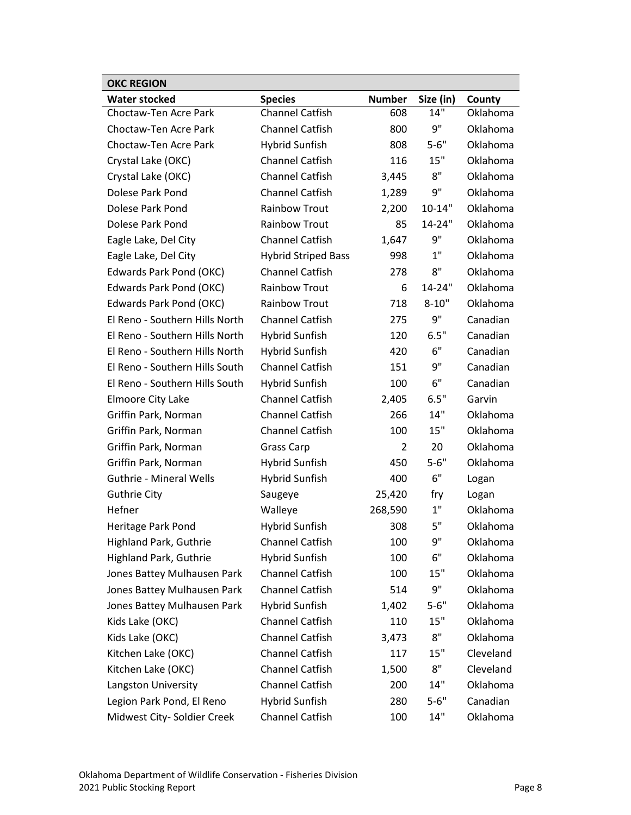| <b>OKC REGION</b>              |                            |                |            |           |
|--------------------------------|----------------------------|----------------|------------|-----------|
| <b>Water stocked</b>           | <b>Species</b>             | <b>Number</b>  | Size (in)  | County    |
| Choctaw-Ten Acre Park          | <b>Channel Catfish</b>     | 608            | 14"        | Oklahoma  |
| Choctaw-Ten Acre Park          | <b>Channel Catfish</b>     | 800            | 9"         | Oklahoma  |
| Choctaw-Ten Acre Park          | <b>Hybrid Sunfish</b>      | 808            | $5 - 6"$   | Oklahoma  |
| Crystal Lake (OKC)             | <b>Channel Catfish</b>     | 116            | 15"        | Oklahoma  |
| Crystal Lake (OKC)             | <b>Channel Catfish</b>     | 3,445          | 8"         | Oklahoma  |
| Dolese Park Pond               | <b>Channel Catfish</b>     | 1,289          | 9"         | Oklahoma  |
| Dolese Park Pond               | <b>Rainbow Trout</b>       | 2,200          | $10 - 14"$ | Oklahoma  |
| Dolese Park Pond               | <b>Rainbow Trout</b>       | 85             | 14-24"     | Oklahoma  |
| Eagle Lake, Del City           | <b>Channel Catfish</b>     | 1,647          | 9"         | Oklahoma  |
| Eagle Lake, Del City           | <b>Hybrid Striped Bass</b> | 998            | 1"         | Oklahoma  |
| Edwards Park Pond (OKC)        | <b>Channel Catfish</b>     | 278            | 8"         | Oklahoma  |
| Edwards Park Pond (OKC)        | <b>Rainbow Trout</b>       | 6              | 14-24"     | Oklahoma  |
| Edwards Park Pond (OKC)        | <b>Rainbow Trout</b>       | 718            | $8 - 10"$  | Oklahoma  |
| El Reno - Southern Hills North | <b>Channel Catfish</b>     | 275            | 9"         | Canadian  |
| El Reno - Southern Hills North | <b>Hybrid Sunfish</b>      | 120            | 6.5"       | Canadian  |
| El Reno - Southern Hills North | Hybrid Sunfish             | 420            | 6"         | Canadian  |
| El Reno - Southern Hills South | <b>Channel Catfish</b>     | 151            | 9"         | Canadian  |
| El Reno - Southern Hills South | <b>Hybrid Sunfish</b>      | 100            | 6"         | Canadian  |
| Elmoore City Lake              | <b>Channel Catfish</b>     | 2,405          | 6.5"       | Garvin    |
| Griffin Park, Norman           | <b>Channel Catfish</b>     | 266            | 14"        | Oklahoma  |
| Griffin Park, Norman           | <b>Channel Catfish</b>     | 100            | 15"        | Oklahoma  |
| Griffin Park, Norman           | <b>Grass Carp</b>          | $\overline{2}$ | 20         | Oklahoma  |
| Griffin Park, Norman           | <b>Hybrid Sunfish</b>      | 450            | $5 - 6"$   | Oklahoma  |
| <b>Guthrie - Mineral Wells</b> | <b>Hybrid Sunfish</b>      | 400            | 6"         | Logan     |
| <b>Guthrie City</b>            | Saugeye                    | 25,420         | fry        | Logan     |
| Hefner                         | Walleye                    | 268,590        | 1"         | Oklahoma  |
| Heritage Park Pond             | <b>Hybrid Sunfish</b>      | 308            | 5"         | Oklahoma  |
| <b>Highland Park, Guthrie</b>  | <b>Channel Catfish</b>     | 100            | 9"         | Oklahoma  |
| <b>Highland Park, Guthrie</b>  | <b>Hybrid Sunfish</b>      | 100            | 6"         | Oklahoma  |
| Jones Battey Mulhausen Park    | <b>Channel Catfish</b>     | 100            | 15"        | Oklahoma  |
| Jones Battey Mulhausen Park    | <b>Channel Catfish</b>     | 514            | 9"         | Oklahoma  |
| Jones Battey Mulhausen Park    | <b>Hybrid Sunfish</b>      | 1,402          | $5 - 6"$   | Oklahoma  |
| Kids Lake (OKC)                | <b>Channel Catfish</b>     | 110            | 15"        | Oklahoma  |
| Kids Lake (OKC)                | <b>Channel Catfish</b>     | 3,473          | 8"         | Oklahoma  |
| Kitchen Lake (OKC)             | <b>Channel Catfish</b>     | 117            | 15"        | Cleveland |
| Kitchen Lake (OKC)             | Channel Catfish            | 1,500          | 8"         | Cleveland |
| Langston University            | Channel Catfish            | 200            | 14"        | Oklahoma  |
| Legion Park Pond, El Reno      | <b>Hybrid Sunfish</b>      | 280            | $5 - 6"$   | Canadian  |
| Midwest City- Soldier Creek    | Channel Catfish            | 100            | 14"        | Oklahoma  |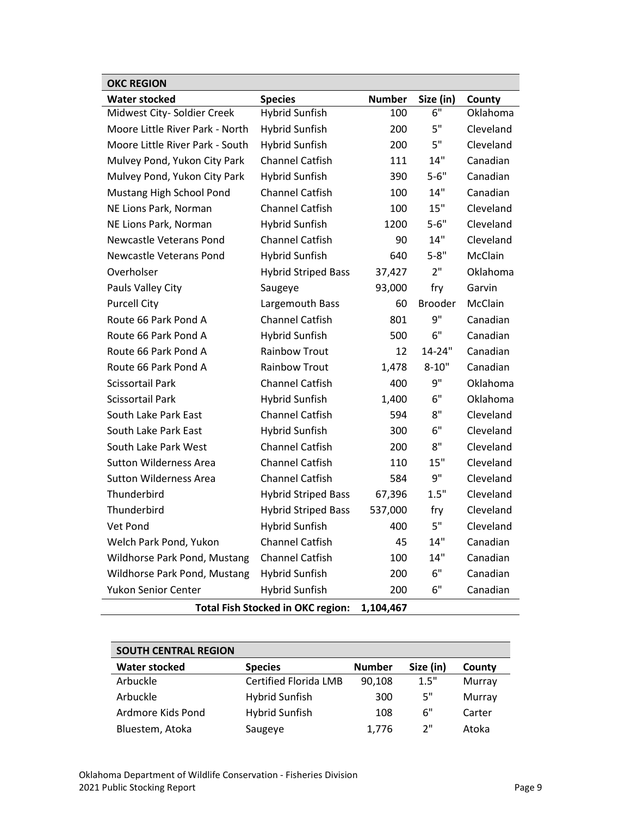| <b>OKC REGION</b>                                     |                            |               |                |           |  |  |  |
|-------------------------------------------------------|----------------------------|---------------|----------------|-----------|--|--|--|
| <b>Water stocked</b>                                  | <b>Species</b>             | <b>Number</b> | Size (in)      | County    |  |  |  |
| Midwest City- Soldier Creek                           | <b>Hybrid Sunfish</b>      | 100           | 6"             | Oklahoma  |  |  |  |
| Moore Little River Park - North                       | <b>Hybrid Sunfish</b>      | 200           | 5"             | Cleveland |  |  |  |
| Moore Little River Park - South                       | <b>Hybrid Sunfish</b>      | 200           | 5"             | Cleveland |  |  |  |
| Mulvey Pond, Yukon City Park                          | <b>Channel Catfish</b>     | 111           | 14"            | Canadian  |  |  |  |
| Mulvey Pond, Yukon City Park                          | <b>Hybrid Sunfish</b>      | 390           | $5 - 6"$       | Canadian  |  |  |  |
| Mustang High School Pond                              | <b>Channel Catfish</b>     | 100           | 14"            | Canadian  |  |  |  |
| NE Lions Park, Norman                                 | <b>Channel Catfish</b>     | 100           | 15"            | Cleveland |  |  |  |
| NE Lions Park, Norman                                 | <b>Hybrid Sunfish</b>      | 1200          | $5 - 6"$       | Cleveland |  |  |  |
| Newcastle Veterans Pond                               | <b>Channel Catfish</b>     | 90            | 14"            | Cleveland |  |  |  |
| Newcastle Veterans Pond                               | <b>Hybrid Sunfish</b>      | 640           | $5 - 8"$       | McClain   |  |  |  |
| Overholser                                            | <b>Hybrid Striped Bass</b> | 37,427        | 2"             | Oklahoma  |  |  |  |
| Pauls Valley City                                     | Saugeye                    | 93,000        | fry            | Garvin    |  |  |  |
| <b>Purcell City</b>                                   | Largemouth Bass            | 60            | <b>Brooder</b> | McClain   |  |  |  |
| Route 66 Park Pond A                                  | <b>Channel Catfish</b>     | 801           | 9"             | Canadian  |  |  |  |
| Route 66 Park Pond A                                  | <b>Hybrid Sunfish</b>      | 500           | 6"             | Canadian  |  |  |  |
| Route 66 Park Pond A                                  | <b>Rainbow Trout</b>       | 12            | 14-24"         | Canadian  |  |  |  |
| Route 66 Park Pond A                                  | <b>Rainbow Trout</b>       | 1,478         | $8 - 10"$      | Canadian  |  |  |  |
| <b>Scissortail Park</b>                               | <b>Channel Catfish</b>     | 400           | 9"             | Oklahoma  |  |  |  |
| <b>Scissortail Park</b>                               | <b>Hybrid Sunfish</b>      | 1,400         | 6"             | Oklahoma  |  |  |  |
| South Lake Park East                                  | <b>Channel Catfish</b>     | 594           | 8"             | Cleveland |  |  |  |
| South Lake Park East                                  | <b>Hybrid Sunfish</b>      | 300           | 6"             | Cleveland |  |  |  |
| South Lake Park West                                  | <b>Channel Catfish</b>     | 200           | 8"             | Cleveland |  |  |  |
| <b>Sutton Wilderness Area</b>                         | <b>Channel Catfish</b>     | 110           | 15"            | Cleveland |  |  |  |
| <b>Sutton Wilderness Area</b>                         | <b>Channel Catfish</b>     | 584           | 9"             | Cleveland |  |  |  |
| Thunderbird                                           | <b>Hybrid Striped Bass</b> | 67,396        | 1.5"           | Cleveland |  |  |  |
| Thunderbird                                           | <b>Hybrid Striped Bass</b> | 537,000       | fry            | Cleveland |  |  |  |
| Vet Pond                                              | <b>Hybrid Sunfish</b>      | 400           | 5"             | Cleveland |  |  |  |
| Welch Park Pond, Yukon                                | <b>Channel Catfish</b>     | 45            | 14"            | Canadian  |  |  |  |
| Wildhorse Park Pond, Mustang                          | <b>Channel Catfish</b>     | 100           | 14"            | Canadian  |  |  |  |
| Wildhorse Park Pond, Mustang                          | <b>Hybrid Sunfish</b>      | 200           | 6"             | Canadian  |  |  |  |
| Yukon Senior Center                                   | <b>Hybrid Sunfish</b>      | 200           | 6"             | Canadian  |  |  |  |
| <b>Total Fish Stocked in OKC region:</b><br>1,104,467 |                            |               |                |           |  |  |  |

| <b>SOUTH CENTRAL REGION</b> |                       |               |           |        |
|-----------------------------|-----------------------|---------------|-----------|--------|
| Water stocked               | <b>Species</b>        | <b>Number</b> | Size (in) | County |
| Arbuckle                    | Certified Florida LMB | 90,108        | 1.5"      | Murray |
| Arbuckle                    | Hybrid Sunfish        | 300           | 5"        | Murray |
| Ardmore Kids Pond           | <b>Hybrid Sunfish</b> | 108           | 6"        | Carter |
| Bluestem, Atoka             | Saugeye               | 1,776         | ን"        | Atoka  |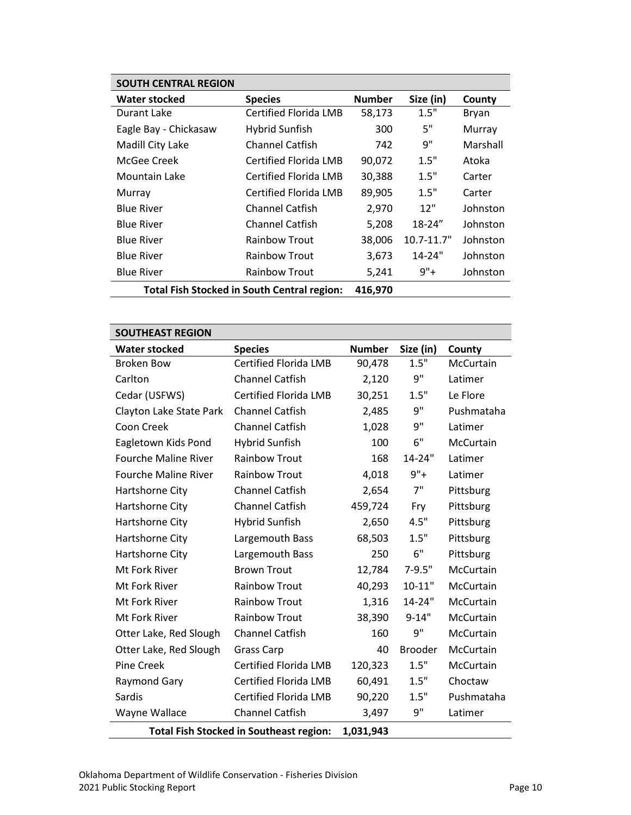| <b>SOUTH CENTRAL REGION</b>                 |                        |               |                |          |
|---------------------------------------------|------------------------|---------------|----------------|----------|
| <b>Water stocked</b>                        | <b>Species</b>         | <b>Number</b> | Size (in)      | County   |
| Durant Lake                                 | Certified Florida LMB  | 58,173        | 1.5"           | Bryan    |
| Eagle Bay - Chickasaw                       | <b>Hybrid Sunfish</b>  | 300           | 5"             | Murray   |
| Madill City Lake                            | <b>Channel Catfish</b> | 742           | 9"             | Marshall |
| McGee Creek                                 | Certified Florida LMB  | 90,072        | 1.5"           | Atoka    |
| Mountain Lake                               | Certified Florida LMB  | 30,388        | 1.5"           | Carter   |
| Murray                                      | Certified Florida LMB  | 89,905        | 1.5"           | Carter   |
| <b>Blue River</b>                           | <b>Channel Catfish</b> | 2,970         | 12"            | Johnston |
| <b>Blue River</b>                           | Channel Catfish        | 5,208         | $18 - 24"$     | Johnston |
| <b>Blue River</b>                           | <b>Rainbow Trout</b>   | 38,006        | $10.7 - 11.7"$ | Johnston |
| <b>Blue River</b>                           | <b>Rainbow Trout</b>   | 3,673         | $14 - 24"$     | Johnston |
| <b>Blue River</b>                           | <b>Rainbow Trout</b>   | 5,241         | $9"+$          | Johnston |
| Total Fish Stocked in South Central region: |                        | 416,970       |                |          |

| <b>SOUTHEAST REGION</b>                        |                              |               |                |            |  |
|------------------------------------------------|------------------------------|---------------|----------------|------------|--|
| <b>Water stocked</b>                           | <b>Species</b>               | <b>Number</b> | Size (in)      | County     |  |
| <b>Broken Bow</b>                              | <b>Certified Florida LMB</b> | 90,478        | 1.5"           | McCurtain  |  |
| Carlton                                        | <b>Channel Catfish</b>       | 2,120         | $9"$           | Latimer    |  |
| Cedar (USFWS)                                  | <b>Certified Florida LMB</b> | 30,251        | 1.5"           | Le Flore   |  |
| Clayton Lake State Park                        | <b>Channel Catfish</b>       | 2,485         | 9"             | Pushmataha |  |
| Coon Creek                                     | <b>Channel Catfish</b>       | 1,028         | 9"             | Latimer    |  |
| Eagletown Kids Pond                            | <b>Hybrid Sunfish</b>        | 100           | 6"             | McCurtain  |  |
| <b>Fourche Maline River</b>                    | <b>Rainbow Trout</b>         | 168           | 14-24"         | Latimer    |  |
| <b>Fourche Maline River</b>                    | <b>Rainbow Trout</b>         | 4,018         | $9"+$          | Latimer    |  |
| Hartshorne City                                | <b>Channel Catfish</b>       | 2,654         | 7"             | Pittsburg  |  |
| Hartshorne City                                | <b>Channel Catfish</b>       | 459,724       | Fry            | Pittsburg  |  |
| Hartshorne City                                | <b>Hybrid Sunfish</b>        | 2,650         | 4.5"           | Pittsburg  |  |
| Hartshorne City                                | Largemouth Bass              | 68,503        | 1.5"           | Pittsburg  |  |
| Hartshorne City                                | Largemouth Bass              | 250           | 6"             | Pittsburg  |  |
| Mt Fork River                                  | <b>Brown Trout</b>           | 12,784        | $7-9.5"$       | McCurtain  |  |
| Mt Fork River                                  | <b>Rainbow Trout</b>         | 40,293        | $10 - 11"$     | McCurtain  |  |
| Mt Fork River                                  | <b>Rainbow Trout</b>         | 1,316         | 14-24"         | McCurtain  |  |
| Mt Fork River                                  | <b>Rainbow Trout</b>         | 38,390        | $9 - 14"$      | McCurtain  |  |
| Otter Lake, Red Slough                         | <b>Channel Catfish</b>       | 160           | 9"             | McCurtain  |  |
| Otter Lake, Red Slough                         | <b>Grass Carp</b>            | 40            | <b>Brooder</b> | McCurtain  |  |
| <b>Pine Creek</b>                              | <b>Certified Florida LMB</b> | 120,323       | 1.5"           | McCurtain  |  |
| Raymond Gary                                   | <b>Certified Florida LMB</b> | 60,491        | 1.5"           | Choctaw    |  |
| Sardis                                         | <b>Certified Florida LMB</b> | 90,220        | 1.5"           | Pushmataha |  |
| Wayne Wallace                                  | <b>Channel Catfish</b>       | 3,497         | 9"             | Latimer    |  |
| <b>Total Fish Stocked in Southeast region:</b> |                              | 1,031,943     |                |            |  |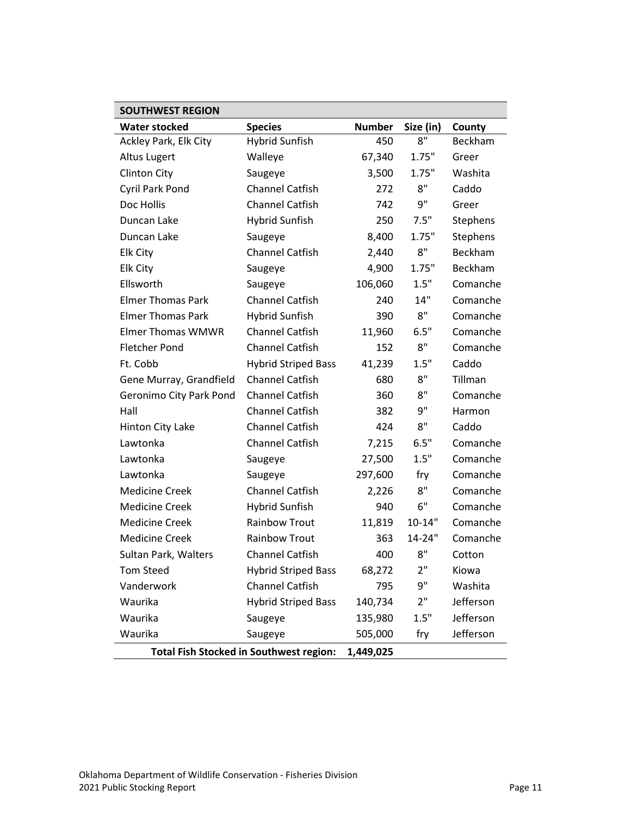| <b>SOUTHWEST REGION</b>  |                                                |               |            |           |
|--------------------------|------------------------------------------------|---------------|------------|-----------|
| <b>Water stocked</b>     | <b>Species</b>                                 | <b>Number</b> | Size (in)  | County    |
| Ackley Park, Elk City    | <b>Hybrid Sunfish</b>                          | 450           | 8"         | Beckham   |
| Altus Lugert             | Walleye                                        | 67,340        | 1.75"      | Greer     |
| <b>Clinton City</b>      | Saugeye                                        | 3,500         | 1.75"      | Washita   |
| Cyril Park Pond          | <b>Channel Catfish</b>                         | 272           | 8"         | Caddo     |
| Doc Hollis               | <b>Channel Catfish</b>                         | 742           | 9"         | Greer     |
| Duncan Lake              | <b>Hybrid Sunfish</b>                          | 250           | 7.5"       | Stephens  |
| Duncan Lake              | Saugeye                                        | 8,400         | 1.75"      | Stephens  |
| <b>Elk City</b>          | <b>Channel Catfish</b>                         | 2,440         | 8"         | Beckham   |
| <b>Elk City</b>          | Saugeye                                        | 4,900         | 1.75"      | Beckham   |
| Ellsworth                | Saugeye                                        | 106,060       | 1.5"       | Comanche  |
| <b>Elmer Thomas Park</b> | <b>Channel Catfish</b>                         | 240           | 14"        | Comanche  |
| <b>Elmer Thomas Park</b> | <b>Hybrid Sunfish</b>                          | 390           | 8"         | Comanche  |
| <b>Elmer Thomas WMWR</b> | <b>Channel Catfish</b>                         | 11,960        | 6.5"       | Comanche  |
| <b>Fletcher Pond</b>     | <b>Channel Catfish</b>                         | 152           | 8"         | Comanche  |
| Ft. Cobb                 | <b>Hybrid Striped Bass</b>                     | 41,239        | 1.5"       | Caddo     |
| Gene Murray, Grandfield  | <b>Channel Catfish</b>                         | 680           | 8"         | Tillman   |
| Geronimo City Park Pond  | <b>Channel Catfish</b>                         | 360           | 8"         | Comanche  |
| Hall                     | <b>Channel Catfish</b>                         | 382           | 9"         | Harmon    |
| Hinton City Lake         | <b>Channel Catfish</b>                         | 424           | 8"         | Caddo     |
| Lawtonka                 | <b>Channel Catfish</b>                         | 7,215         | 6.5"       | Comanche  |
| Lawtonka                 | Saugeye                                        | 27,500        | 1.5"       | Comanche  |
| Lawtonka                 | Saugeye                                        | 297,600       | fry        | Comanche  |
| <b>Medicine Creek</b>    | <b>Channel Catfish</b>                         | 2,226         | 8"         | Comanche  |
| <b>Medicine Creek</b>    | <b>Hybrid Sunfish</b>                          | 940           | 6"         | Comanche  |
| <b>Medicine Creek</b>    | <b>Rainbow Trout</b>                           | 11,819        | $10 - 14"$ | Comanche  |
| <b>Medicine Creek</b>    | <b>Rainbow Trout</b>                           | 363           | 14-24"     | Comanche  |
| Sultan Park, Walters     | <b>Channel Catfish</b>                         | 400           | 8"         | Cotton    |
| <b>Tom Steed</b>         | <b>Hybrid Striped Bass</b>                     | 68,272        | 2"         | Kiowa     |
| Vanderwork               | <b>Channel Catfish</b>                         | 795           | 9"         | Washita   |
| Waurika                  | <b>Hybrid Striped Bass</b>                     | 140,734       | 2"         | Jefferson |
| Waurika                  | Saugeye                                        | 135,980       | 1.5"       | Jefferson |
| Waurika                  | Saugeye                                        | 505,000       | fry        | Jefferson |
|                          | <b>Total Fish Stocked in Southwest region:</b> | 1,449,025     |            |           |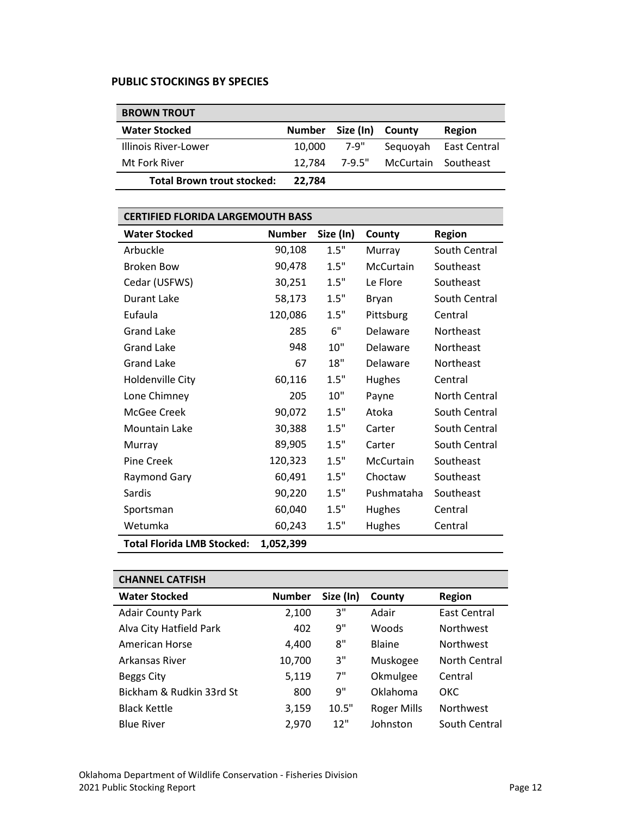#### PUBLIC STOCKINGS BY SPECIES

| <b>BROWN TROUT</b>                |               |           |                     |              |
|-----------------------------------|---------------|-----------|---------------------|--------------|
| <b>Water Stocked</b>              | <b>Number</b> | Size (In) | County              | Region       |
| Illinois River-Lower              | 10,000        | 7-9"      | Seguovah            | East Central |
| Mt Fork River                     | 12.784        | 7-9.5"    | McCurtain Southeast |              |
| <b>Total Brown trout stocked:</b> | 22.784        |           |                     |              |

| <b>CERTIFIED FLORIDA LARGEMOUTH BASS</b> |               |           |            |               |  |  |
|------------------------------------------|---------------|-----------|------------|---------------|--|--|
| <b>Water Stocked</b>                     | <b>Number</b> | Size (In) | County     | <b>Region</b> |  |  |
| Arbuckle                                 | 90,108        | 1.5"      | Murray     | South Central |  |  |
| <b>Broken Bow</b>                        | 90,478        | 1.5"      | McCurtain  | Southeast     |  |  |
| Cedar (USFWS)                            | 30,251        | 1.5"      | Le Flore   | Southeast     |  |  |
| <b>Durant Lake</b>                       | 58,173        | 1.5"      | Bryan      | South Central |  |  |
| Eufaula                                  | 120,086       | 1.5"      | Pittsburg  | Central       |  |  |
| <b>Grand Lake</b>                        | 285           | 6"        | Delaware   | Northeast     |  |  |
| <b>Grand Lake</b>                        | 948           | 10"       | Delaware   | Northeast     |  |  |
| <b>Grand Lake</b>                        | 67            | 18"       | Delaware   | Northeast     |  |  |
| Holdenville City                         | 60,116        | 1.5"      | Hughes     | Central       |  |  |
| Lone Chimney                             | 205           | 10"       | Payne      | North Central |  |  |
| McGee Creek                              | 90,072        | 1.5"      | Atoka      | South Central |  |  |
| Mountain Lake                            | 30,388        | 1.5"      | Carter     | South Central |  |  |
| Murray                                   | 89,905        | 1.5"      | Carter     | South Central |  |  |
| Pine Creek                               | 120,323       | 1.5"      | McCurtain  | Southeast     |  |  |
| Raymond Gary                             | 60,491        | 1.5"      | Choctaw    | Southeast     |  |  |
| Sardis                                   | 90,220        | 1.5"      | Pushmataha | Southeast     |  |  |
| Sportsman                                | 60,040        | 1.5"      | Hughes     | Central       |  |  |
| Wetumka                                  | 60,243        | 1.5"      | Hughes     | Central       |  |  |
| <b>Total Florida LMB Stocked:</b>        | 1,052,399     |           |            |               |  |  |

| <b>CHANNEL CATFISH</b>   |               |           |                    |                     |
|--------------------------|---------------|-----------|--------------------|---------------------|
| <b>Water Stocked</b>     | <b>Number</b> | Size (In) | County             | <b>Region</b>       |
| <b>Adair County Park</b> | 2,100         | 3"        | Adair              | <b>East Central</b> |
| Alva City Hatfield Park  | 402           | 9"        | <b>Woods</b>       | <b>Northwest</b>    |
| American Horse           | 4,400         | 8"        | Blaine             | <b>Northwest</b>    |
| Arkansas River           | 10,700        | 3"        | Muskogee           | North Central       |
| Beggs City               | 5,119         | 7"        | Okmulgee           | Central             |
| Bickham & Rudkin 33rd St | 800           | 9"        | Oklahoma           | <b>OKC</b>          |
| <b>Black Kettle</b>      | 3,159         | 10.5"     | <b>Roger Mills</b> | <b>Northwest</b>    |
| <b>Blue River</b>        | 2,970         | 12"       | Johnston           | South Central       |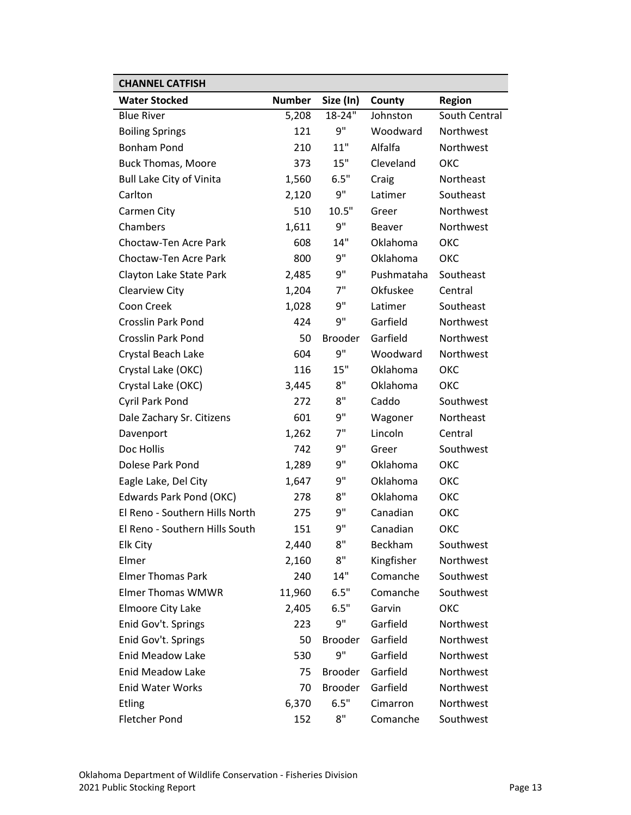| <b>CHANNEL CATFISH</b>          |               |                |               |               |
|---------------------------------|---------------|----------------|---------------|---------------|
| <b>Water Stocked</b>            | <b>Number</b> | Size (In)      | County        | <b>Region</b> |
| <b>Blue River</b>               | 5,208         | 18-24"         | Johnston      | South Central |
| <b>Boiling Springs</b>          | 121           | 9"             | Woodward      | Northwest     |
| <b>Bonham Pond</b>              | 210           | 11"            | Alfalfa       | Northwest     |
| <b>Buck Thomas, Moore</b>       | 373           | 15"            | Cleveland     | ОКС           |
| <b>Bull Lake City of Vinita</b> | 1,560         | 6.5"           | Craig         | Northeast     |
| Carlton                         | 2,120         | 9"             | Latimer       | Southeast     |
| Carmen City                     | 510           | 10.5"          | Greer         | Northwest     |
| Chambers                        | 1,611         | 9"             | <b>Beaver</b> | Northwest     |
| Choctaw-Ten Acre Park           | 608           | 14"            | Oklahoma      | <b>OKC</b>    |
| Choctaw-Ten Acre Park           | 800           | 9"             | Oklahoma      | ОКС           |
| Clayton Lake State Park         | 2,485         | 9"             | Pushmataha    | Southeast     |
| Clearview City                  | 1,204         | 7"             | Okfuskee      | Central       |
| Coon Creek                      | 1,028         | 9"             | Latimer       | Southeast     |
| <b>Crosslin Park Pond</b>       | 424           | 9"             | Garfield      | Northwest     |
| <b>Crosslin Park Pond</b>       | 50            | <b>Brooder</b> | Garfield      | Northwest     |
| Crystal Beach Lake              | 604           | 9"             | Woodward      | Northwest     |
| Crystal Lake (OKC)              | 116           | 15"            | Oklahoma      | ОКС           |
| Crystal Lake (OKC)              | 3,445         | 8"             | Oklahoma      | ОКС           |
| Cyril Park Pond                 | 272           | 8"             | Caddo         | Southwest     |
| Dale Zachary Sr. Citizens       | 601           | 9"             | Wagoner       | Northeast     |
| Davenport                       | 1,262         | 7"             | Lincoln       | Central       |
| Doc Hollis                      | 742           | 9"             | Greer         | Southwest     |
| Dolese Park Pond                | 1,289         | 9"             | Oklahoma      | ОКС           |
| Eagle Lake, Del City            | 1,647         | 9"             | Oklahoma      | ОКС           |
| Edwards Park Pond (OKC)         | 278           | 8"             | Oklahoma      | ОКС           |
| El Reno - Southern Hills North  | 275           | 9"             | Canadian      | ОКС           |
| El Reno - Southern Hills South  | 151           | 9"             | Canadian      | ОКС           |
| Elk City                        | 2,440         | 8"             | Beckham       | Southwest     |
| Elmer                           | 2,160         | 8"             | Kingfisher    | Northwest     |
| <b>Elmer Thomas Park</b>        | 240           | 14"            | Comanche      | Southwest     |
| <b>Elmer Thomas WMWR</b>        | 11,960        | 6.5"           | Comanche      | Southwest     |
| Elmoore City Lake               | 2,405         | 6.5"           | Garvin        | ОКС           |
| Enid Gov't. Springs             | 223           | 9"             | Garfield      | Northwest     |
| Enid Gov't. Springs             | 50            | <b>Brooder</b> | Garfield      | Northwest     |
| <b>Enid Meadow Lake</b>         | 530           | 9"             | Garfield      | Northwest     |
| <b>Enid Meadow Lake</b>         | 75            | <b>Brooder</b> | Garfield      | Northwest     |
| <b>Enid Water Works</b>         | 70            | <b>Brooder</b> | Garfield      | Northwest     |
| <b>Etling</b>                   | 6,370         | 6.5"           | Cimarron      | Northwest     |
| <b>Fletcher Pond</b>            | 152           | 8"             | Comanche      | Southwest     |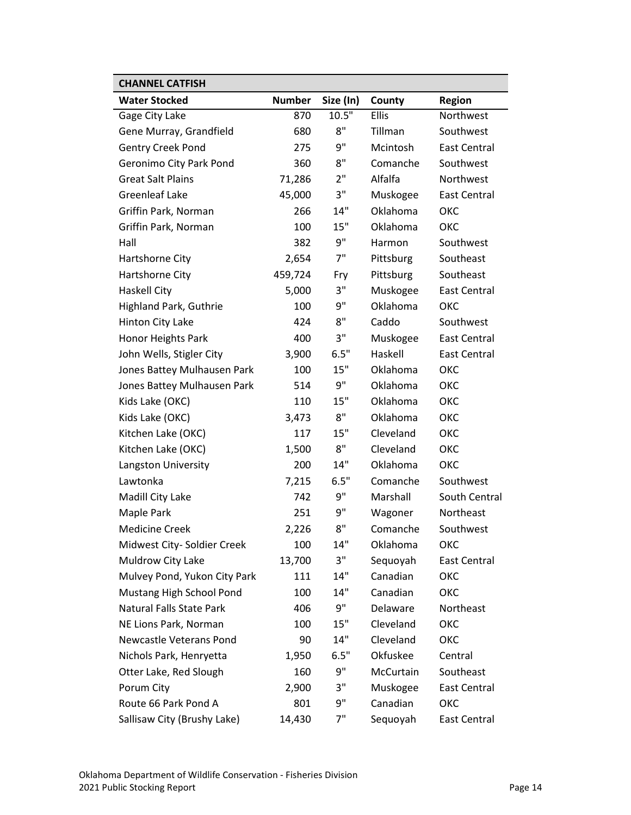| <b>CHANNEL CATFISH</b>          |               |           |              |                     |
|---------------------------------|---------------|-----------|--------------|---------------------|
| <b>Water Stocked</b>            | <b>Number</b> | Size (In) | County       | <b>Region</b>       |
| Gage City Lake                  | 870           | 10.5"     | <b>Ellis</b> | Northwest           |
| Gene Murray, Grandfield         | 680           | 8"        | Tillman      | Southwest           |
| Gentry Creek Pond               | 275           | 9"        | Mcintosh     | <b>East Central</b> |
| Geronimo City Park Pond         | 360           | 8"        | Comanche     | Southwest           |
| <b>Great Salt Plains</b>        | 71,286        | 2"        | Alfalfa      | Northwest           |
| <b>Greenleaf Lake</b>           | 45,000        | 3"        | Muskogee     | <b>East Central</b> |
| Griffin Park, Norman            | 266           | 14"       | Oklahoma     | ОКС                 |
| Griffin Park, Norman            | 100           | 15"       | Oklahoma     | ОКС                 |
| Hall                            | 382           | 9"        | Harmon       | Southwest           |
| Hartshorne City                 | 2,654         | 7"        | Pittsburg    | Southeast           |
| Hartshorne City                 | 459,724       | Fry       | Pittsburg    | Southeast           |
| <b>Haskell City</b>             | 5,000         | 3"        | Muskogee     | East Central        |
| <b>Highland Park, Guthrie</b>   | 100           | 9"        | Oklahoma     | OKC                 |
| Hinton City Lake                | 424           | 8"        | Caddo        | Southwest           |
| Honor Heights Park              | 400           | 3"        | Muskogee     | <b>East Central</b> |
| John Wells, Stigler City        | 3,900         | 6.5"      | Haskell      | <b>East Central</b> |
| Jones Battey Mulhausen Park     | 100           | 15"       | Oklahoma     | OKC                 |
| Jones Battey Mulhausen Park     | 514           | 9"        | Oklahoma     | ОКС                 |
| Kids Lake (OKC)                 | 110           | 15"       | Oklahoma     | OKC                 |
| Kids Lake (OKC)                 | 3,473         | 8"        | Oklahoma     | OKC                 |
| Kitchen Lake (OKC)              | 117           | 15"       | Cleveland    | ОКС                 |
| Kitchen Lake (OKC)              | 1,500         | 8"        | Cleveland    | ОКС                 |
| Langston University             | 200           | 14"       | Oklahoma     | OKC                 |
| Lawtonka                        | 7,215         | 6.5"      | Comanche     | Southwest           |
| Madill City Lake                | 742           | 9"        | Marshall     | South Central       |
| Maple Park                      | 251           | 9"        | Wagoner      | Northeast           |
| <b>Medicine Creek</b>           | 2,226         | 8"        | Comanche     | Southwest           |
| Midwest City- Soldier Creek     | 100           | 14"       | Oklahoma     | ОКС                 |
| Muldrow City Lake               | 13,700        | 3"        | Sequoyah     | East Central        |
| Mulvey Pond, Yukon City Park    | 111           | 14"       | Canadian     | ОКС                 |
| Mustang High School Pond        | 100           | 14"       | Canadian     | ОКС                 |
| <b>Natural Falls State Park</b> | 406           | 9"        | Delaware     | Northeast           |
| NE Lions Park, Norman           | 100           | 15"       | Cleveland    | ОКС                 |
| Newcastle Veterans Pond         | 90            | 14"       | Cleveland    | ОКС                 |
| Nichols Park, Henryetta         | 1,950         | 6.5"      | Okfuskee     | Central             |
| Otter Lake, Red Slough          | 160           | 9"        | McCurtain    | Southeast           |
| Porum City                      | 2,900         | 3"        | Muskogee     | <b>East Central</b> |
| Route 66 Park Pond A            | 801           | 9"        | Canadian     | ОКС                 |
| Sallisaw City (Brushy Lake)     | 14,430        | 7"        | Sequoyah     | East Central        |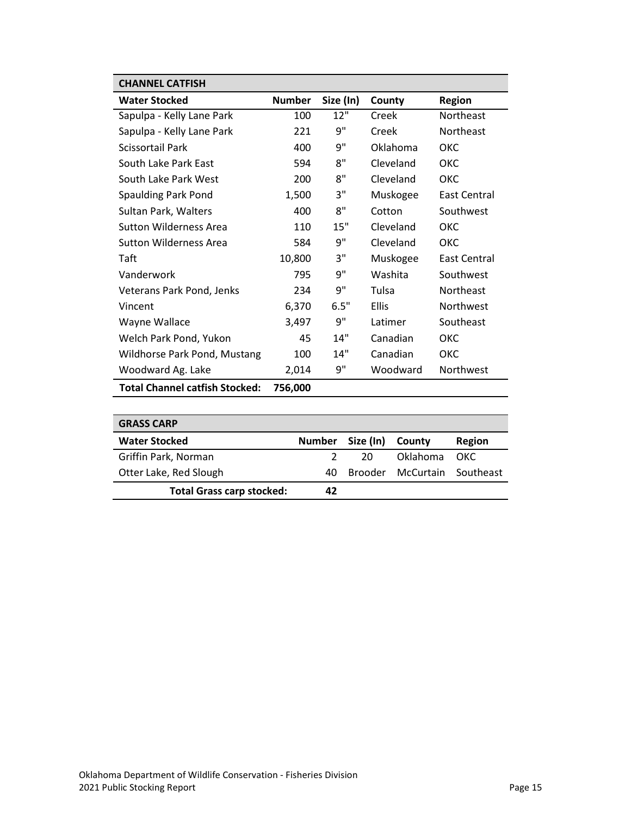| <b>CHANNEL CATFISH</b>                |               |           |              |                  |
|---------------------------------------|---------------|-----------|--------------|------------------|
| <b>Water Stocked</b>                  | <b>Number</b> | Size (In) | County       | <b>Region</b>    |
| Sapulpa - Kelly Lane Park             | 100           | 12"       | Creek        | Northeast        |
| Sapulpa - Kelly Lane Park             | 221           | 9"        | Creek        | <b>Northeast</b> |
| <b>Scissortail Park</b>               | 400           | 9"        | Oklahoma     | OKC              |
| South Lake Park East                  | 594           | 8"        | Cleveland    | OKC.             |
| South Lake Park West                  | 200           | 8"        | Cleveland    | <b>OKC</b>       |
| Spaulding Park Pond                   | 1,500         | 3"        | Muskogee     | East Central     |
| Sultan Park, Walters                  | 400           | 8"        | Cotton       | Southwest        |
| Sutton Wilderness Area                | 110           | 15"       | Cleveland    | ОКС              |
| <b>Sutton Wilderness Area</b>         | 584           | 9"        | Cleveland    | <b>OKC</b>       |
| Taft                                  | 10,800        | 3"        | Muskogee     | East Central     |
| Vanderwork                            | 795           | 9"        | Washita      | Southwest        |
| Veterans Park Pond, Jenks             | 234           | 9"        | Tulsa        | Northeast        |
| Vincent                               | 6,370         | 6.5"      | <b>Ellis</b> | Northwest        |
| Wayne Wallace                         | 3,497         | 9"        | Latimer      | Southeast        |
| Welch Park Pond, Yukon                | 45            | 14"       | Canadian     | ОКС              |
| Wildhorse Park Pond, Mustang          | 100           | 14"       | Canadian     | OKC              |
| Woodward Ag. Lake                     | 2,014         | 9"        | Woodward     | Northwest        |
| <b>Total Channel catfish Stocked:</b> | 756,000       |           |              |                  |

| <b>GRASS CARP</b>                |               |                  |                             |        |
|----------------------------------|---------------|------------------|-----------------------------|--------|
| <b>Water Stocked</b>             | <b>Number</b> | Size (In) County |                             | Region |
| Griffin Park, Norman             |               | 20               | Oklahoma                    | OKC.   |
| Otter Lake, Red Slough           | 40.           |                  | Brooder McCurtain Southeast |        |
| <b>Total Grass carp stocked:</b> | 42            |                  |                             |        |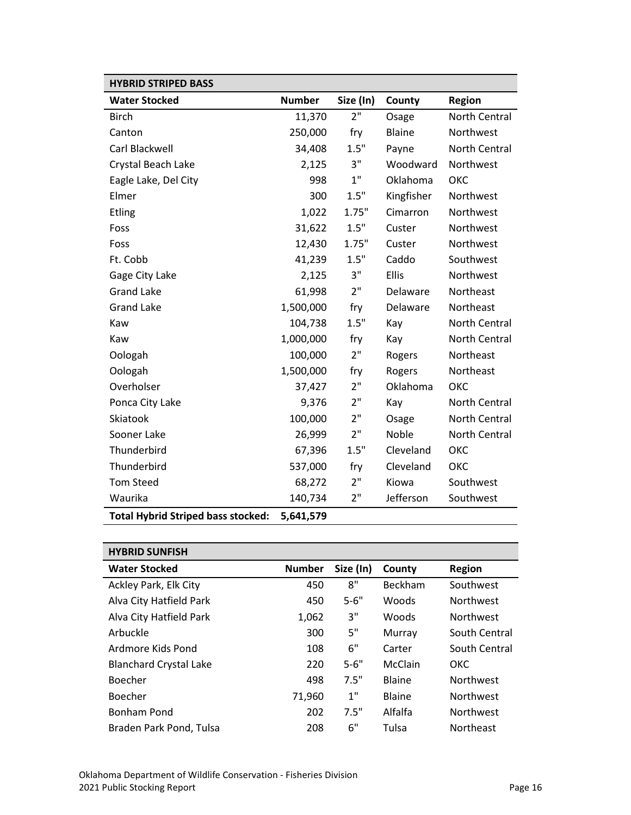| <b>HYBRID STRIPED BASS</b>                |               |           |               |               |
|-------------------------------------------|---------------|-----------|---------------|---------------|
| <b>Water Stocked</b>                      | <b>Number</b> | Size (In) | County        | <b>Region</b> |
| <b>Birch</b>                              | 11,370        | 2"        | Osage         | North Central |
| Canton                                    | 250,000       | fry       | <b>Blaine</b> | Northwest     |
| Carl Blackwell                            | 34,408        | 1.5"      | Payne         | North Central |
| Crystal Beach Lake                        | 2,125         | 3"        | Woodward      | Northwest     |
| Eagle Lake, Del City                      | 998           | 1"        | Oklahoma      | ОКС           |
| Elmer                                     | 300           | 1.5"      | Kingfisher    | Northwest     |
| <b>Etling</b>                             | 1,022         | 1.75"     | Cimarron      | Northwest     |
| Foss                                      | 31,622        | 1.5"      | Custer        | Northwest     |
| Foss                                      | 12,430        | 1.75"     | Custer        | Northwest     |
| Ft. Cobb                                  | 41,239        | $1.5"$    | Caddo         | Southwest     |
| Gage City Lake                            | 2,125         | 3"        | Ellis         | Northwest     |
| <b>Grand Lake</b>                         | 61,998        | 2"        | Delaware      | Northeast     |
| <b>Grand Lake</b>                         | 1,500,000     | fry       | Delaware      | Northeast     |
| Kaw                                       | 104,738       | 1.5"      | Kay           | North Central |
| Kaw                                       | 1,000,000     | fry       | Kay           | North Central |
| Oologah                                   | 100,000       | 2"        | Rogers        | Northeast     |
| Oologah                                   | 1,500,000     | fry       | Rogers        | Northeast     |
| Overholser                                | 37,427        | 2"        | Oklahoma      | ОКС           |
| Ponca City Lake                           | 9,376         | 2"        | Kay           | North Central |
| Skiatook                                  | 100,000       | 2"        | Osage         | North Central |
| Sooner Lake                               | 26,999        | 2"        | Noble         | North Central |
| Thunderbird                               | 67,396        | 1.5"      | Cleveland     | OKC           |
| Thunderbird                               | 537,000       | fry       | Cleveland     | ОКС           |
| <b>Tom Steed</b>                          | 68,272        | 2"        | Kiowa         | Southwest     |
| Waurika                                   | 140,734       | 2"        | Jefferson     | Southwest     |
| <b>Total Hybrid Striped bass stocked:</b> | 5,641,579     |           |               |               |

| <b>HYBRID SUNFISH</b>         |               |           |                |                  |
|-------------------------------|---------------|-----------|----------------|------------------|
| <b>Water Stocked</b>          | <b>Number</b> | Size (In) | County         | <b>Region</b>    |
| Ackley Park, Elk City         | 450           | 8"        | <b>Beckham</b> | Southwest        |
| Alva City Hatfield Park       | 450           | $5 - 6"$  | Woods          | <b>Northwest</b> |
| Alva City Hatfield Park       | 1,062         | 3"        | Woods          | <b>Northwest</b> |
| Arbuckle                      | 300           | 5"        | Murray         | South Central    |
| Ardmore Kids Pond             | 108           | 6"        | Carter         | South Central    |
| <b>Blanchard Crystal Lake</b> | 220           | $5 - 6"$  | McClain        | ОКС              |
| Boecher                       | 498           | 7.5"      | Blaine         | <b>Northwest</b> |
| Boecher                       | 71,960        | 1"        | Blaine         | <b>Northwest</b> |
| Bonham Pond                   | 202           | 7.5"      | Alfalfa        | <b>Northwest</b> |
| Braden Park Pond, Tulsa       | 208           | 6"        | Tulsa          | <b>Northeast</b> |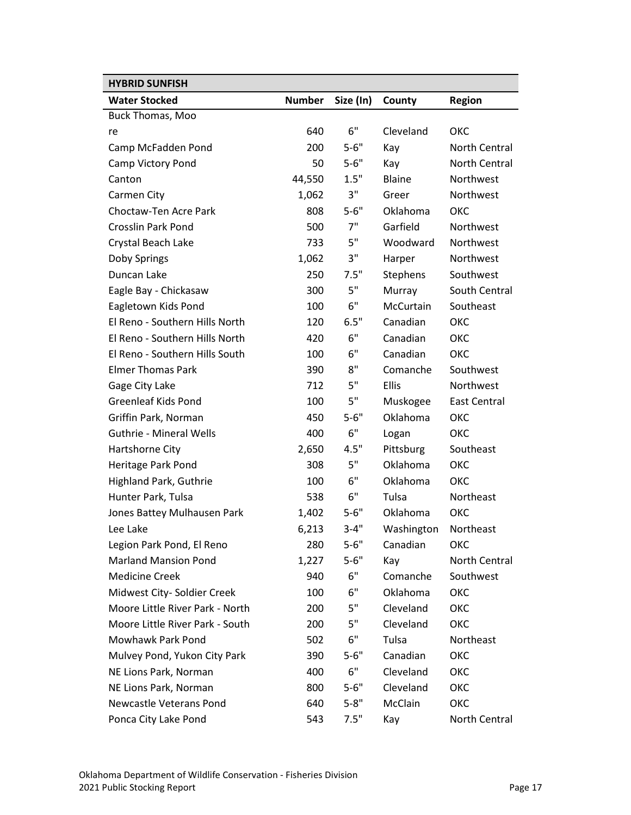| <b>HYBRID SUNFISH</b>           |               |           |            |                     |
|---------------------------------|---------------|-----------|------------|---------------------|
| <b>Water Stocked</b>            | <b>Number</b> | Size (In) | County     | <b>Region</b>       |
| Buck Thomas, Moo                |               |           |            |                     |
| re                              | 640           | 6"        | Cleveland  | окс                 |
| Camp McFadden Pond              | 200           | $5 - 6"$  | Kay        | North Central       |
| Camp Victory Pond               | 50            | $5 - 6"$  | Kay        | North Central       |
| Canton                          | 44,550        | 1.5"      | Blaine     | Northwest           |
| Carmen City                     | 1,062         | 3"        | Greer      | Northwest           |
| Choctaw-Ten Acre Park           | 808           | $5 - 6"$  | Oklahoma   | ОКС                 |
| <b>Crosslin Park Pond</b>       | 500           | 7"        | Garfield   | Northwest           |
| Crystal Beach Lake              | 733           | 5"        | Woodward   | Northwest           |
| Doby Springs                    | 1,062         | 3"        | Harper     | Northwest           |
| Duncan Lake                     | 250           | 7.5"      | Stephens   | Southwest           |
| Eagle Bay - Chickasaw           | 300           | 5"        | Murray     | South Central       |
| Eagletown Kids Pond             | 100           | 6"        | McCurtain  | Southeast           |
| El Reno - Southern Hills North  | 120           | 6.5"      | Canadian   | ОКС                 |
| El Reno - Southern Hills North  | 420           | 6"        | Canadian   | <b>OKC</b>          |
| El Reno - Southern Hills South  | 100           | 6"        | Canadian   | ОКС                 |
| <b>Elmer Thomas Park</b>        | 390           | 8"        | Comanche   | Southwest           |
| Gage City Lake                  | 712           | 5"        | Ellis      | Northwest           |
| <b>Greenleaf Kids Pond</b>      | 100           | 5"        | Muskogee   | <b>East Central</b> |
| Griffin Park, Norman            | 450           | $5 - 6"$  | Oklahoma   | ОКС                 |
| <b>Guthrie - Mineral Wells</b>  | 400           | 6"        | Logan      | ОКС                 |
| Hartshorne City                 | 2,650         | 4.5"      | Pittsburg  | Southeast           |
| Heritage Park Pond              | 308           | 5"        | Oklahoma   | ОКС                 |
| <b>Highland Park, Guthrie</b>   | 100           | 6"        | Oklahoma   | ОКС                 |
| Hunter Park, Tulsa              | 538           | 6"        | Tulsa      | Northeast           |
| Jones Battey Mulhausen Park     | 1,402         | $5 - 6"$  | Oklahoma   | ОКС                 |
| Lee Lake                        | 6,213         | $3 - 4"$  | Washington | Northeast           |
| Legion Park Pond, El Reno       | 280           | $5 - 6"$  | Canadian   | ОКС                 |
| <b>Marland Mansion Pond</b>     | 1,227         | $5 - 6"$  | Kay        | North Central       |
| <b>Medicine Creek</b>           | 940           | 6"        | Comanche   | Southwest           |
| Midwest City- Soldier Creek     | 100           | 6"        | Oklahoma   | ОКС                 |
| Moore Little River Park - North | 200           | 5"        | Cleveland  | ОКС                 |
| Moore Little River Park - South | 200           | 5"        | Cleveland  | ОКС                 |
| Mowhawk Park Pond               | 502           | 6"        | Tulsa      | Northeast           |
| Mulvey Pond, Yukon City Park    | 390           | $5 - 6"$  | Canadian   | ОКС                 |
| NE Lions Park, Norman           | 400           | 6"        | Cleveland  | ОКС                 |
| NE Lions Park, Norman           | 800           | $5 - 6"$  | Cleveland  | ОКС                 |
| Newcastle Veterans Pond         | 640           | $5 - 8"$  | McClain    | ОКС                 |
| Ponca City Lake Pond            | 543           | 7.5"      | Kay        | North Central       |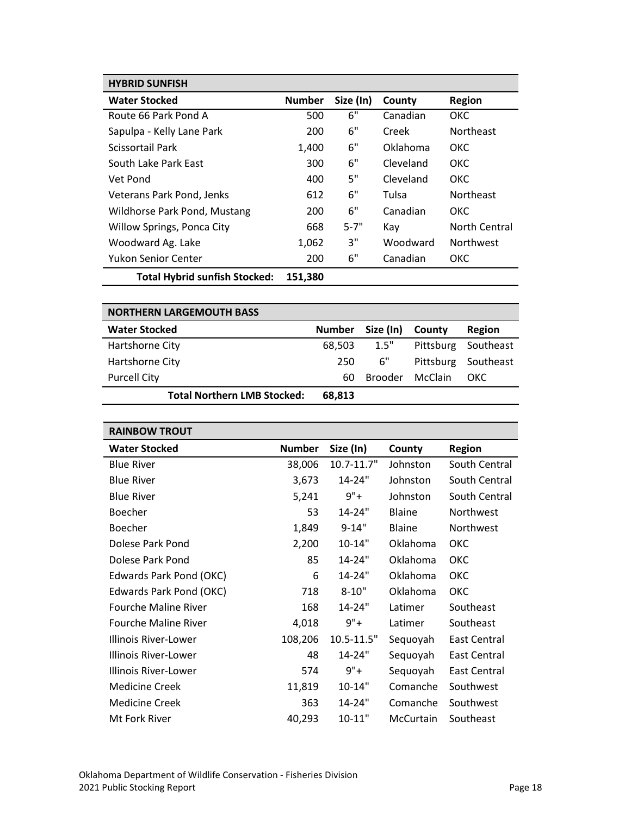| <b>HYBRID SUNFISH</b>                |               |           |           |                  |
|--------------------------------------|---------------|-----------|-----------|------------------|
| <b>Water Stocked</b>                 | <b>Number</b> | Size (In) | County    | <b>Region</b>    |
| Route 66 Park Pond A                 | 500           | 6"        | Canadian  | ОКС              |
| Sapulpa - Kelly Lane Park            | 200           | 6"        | Creek     | <b>Northeast</b> |
| Scissortail Park                     | 1,400         | 6"        | Oklahoma  | ОКС              |
| South Lake Park East                 | 300           | 6"        | Cleveland | <b>OKC</b>       |
| Vet Pond                             | 400           | 5"        | Cleveland | ОКС              |
| Veterans Park Pond, Jenks            | 612           | 6"        | Tulsa     | <b>Northeast</b> |
| Wildhorse Park Pond, Mustang         | 200           | 6"        | Canadian  | ОКС              |
| Willow Springs, Ponca City           | 668           | $5 - 7"$  | Kav       | North Central    |
| Woodward Ag. Lake                    | 1,062         | 3"        | Woodward  | <b>Northwest</b> |
| <b>Yukon Senior Center</b>           | 200           | 6"        | Canadian  | ОКС              |
| <b>Total Hybrid sunfish Stocked:</b> | 151,380       |           |           |                  |

| <b>NORTHERN LARGEMOUTH BASS</b>    |               |                |         |                     |
|------------------------------------|---------------|----------------|---------|---------------------|
| <b>Water Stocked</b>               | <b>Number</b> | Size (In)      | County  | Region              |
| Hartshorne City                    | 68,503        | 1.5"           |         | Pittsburg Southeast |
| Hartshorne City                    | 250           | 6"             |         | Pittsburg Southeast |
| <b>Purcell City</b>                | 60.           | <b>Brooder</b> | McClain | OKC.                |
| <b>Total Northern LMB Stocked:</b> | 68,813        |                |         |                     |

| <b>RAINBOW TROUT</b>        |               |                 |               |                     |
|-----------------------------|---------------|-----------------|---------------|---------------------|
| <b>Water Stocked</b>        | <b>Number</b> | Size (In)       | County        | <b>Region</b>       |
| <b>Blue River</b>           | 38,006        | $10.7 - 11.7$ " | Johnston      | South Central       |
| <b>Blue River</b>           | 3,673         | 14-24"          | Johnston      | South Central       |
| <b>Blue River</b>           | 5,241         | $9"+$           | Johnston      | South Central       |
| Boecher                     | 53            | 14-24"          | <b>Blaine</b> | Northwest           |
| <b>Boecher</b>              | 1,849         | $9 - 14"$       | <b>Blaine</b> | Northwest           |
| Dolese Park Pond            | 2,200         | 10-14"          | Oklahoma      | ОКС                 |
| Dolese Park Pond            | 85            | 14-24"          | Oklahoma      | ОКС                 |
| Edwards Park Pond (OKC)     | 6             | 14-24"          | Oklahoma      | ОКС                 |
| Edwards Park Pond (OKC)     | 718           | $8 - 10"$       | Oklahoma      | ОКС                 |
| <b>Fourche Maline River</b> | 168           | 14-24"          | Latimer       | Southeast           |
| <b>Fourche Maline River</b> | 4,018         | $9"+$           | Latimer       | Southeast           |
| Illinois River-Lower        | 108,206       | 10.5-11.5"      | Sequoyah      | <b>East Central</b> |
| Illinois River-Lower        | 48            | 14-24"          | Sequoyah      | East Central        |
| Illinois River-Lower        | 574           | $9"+$           | Sequoyah      | East Central        |
| <b>Medicine Creek</b>       | 11,819        | $10 - 14"$      | Comanche      | Southwest           |
| <b>Medicine Creek</b>       | 363           | 14-24"          | Comanche      | Southwest           |
| Mt Fork River               | 40,293        | $10 - 11"$      | McCurtain     | Southeast           |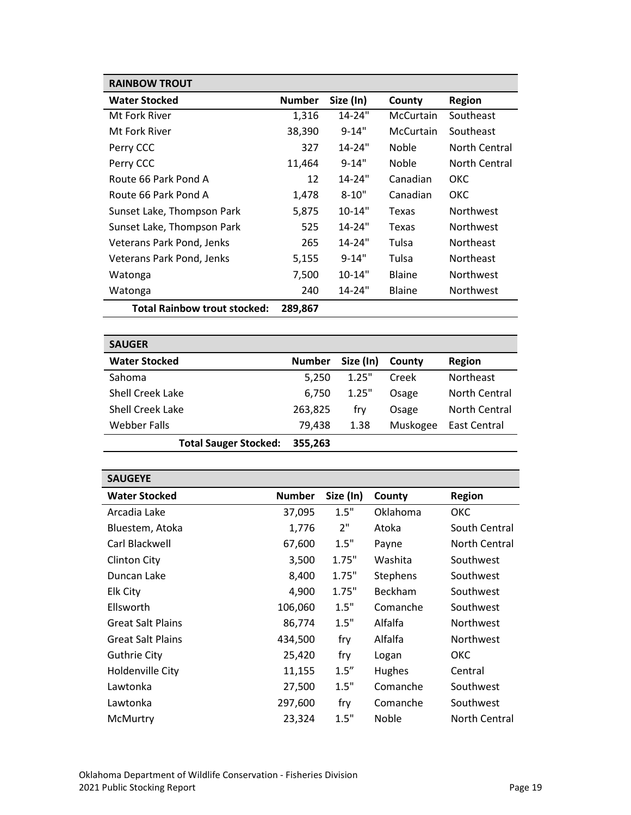| <b>RAINBOW TROUT</b>                |               |            |                  |                  |
|-------------------------------------|---------------|------------|------------------|------------------|
| <b>Water Stocked</b>                | <b>Number</b> | Size (In)  | County           | Region           |
| Mt Fork River                       | 1,316         | $14 - 24"$ | McCurtain        | Southeast        |
| Mt Fork River                       | 38,390        | $9 - 14"$  | <b>McCurtain</b> | Southeast        |
| Perry CCC                           | 327           | $14 - 24"$ | <b>Noble</b>     | North Central    |
| Perry CCC                           | 11,464        | $9 - 14"$  | <b>Noble</b>     | North Central    |
| Route 66 Park Pond A                | 12            | $14 - 24"$ | Canadian         | OKC              |
| Route 66 Park Pond A                | 1,478         | $8 - 10"$  | Canadian         | OKC              |
| Sunset Lake, Thompson Park          | 5,875         | $10 - 14"$ | Texas            | <b>Northwest</b> |
| Sunset Lake, Thompson Park          | 525           | $14 - 24"$ | Texas            | <b>Northwest</b> |
| Veterans Park Pond, Jenks           | 265           | $14 - 24"$ | Tulsa            | <b>Northeast</b> |
| Veterans Park Pond, Jenks           | 5,155         | $9 - 14"$  | Tulsa            | <b>Northeast</b> |
| Watonga                             | 7,500         | $10 - 14"$ | <b>Blaine</b>    | <b>Northwest</b> |
| Watonga                             | 240           | 14-24"     | <b>Blaine</b>    | <b>Northwest</b> |
| <b>Total Rainbow trout stocked:</b> | 289,867       |            |                  |                  |

| <b>SAUGER</b>                |               |           |          |                      |
|------------------------------|---------------|-----------|----------|----------------------|
| <b>Water Stocked</b>         | <b>Number</b> | Size (In) | County   | <b>Region</b>        |
| Sahoma                       | 5,250         | 1.25"     | Creek    | <b>Northeast</b>     |
| Shell Creek Lake             | 6,750         | 1.25"     | Osage    | <b>North Central</b> |
| <b>Shell Creek Lake</b>      | 263,825       | fry       | Osage    | North Central        |
| Webber Falls                 | 79,438        | 1.38      | Muskogee | East Central         |
| <b>Total Sauger Stocked:</b> | 355,263       |           |          |                      |

| <b>SAUGEYE</b>           |               |           |               |               |
|--------------------------|---------------|-----------|---------------|---------------|
| <b>Water Stocked</b>     | <b>Number</b> | Size (In) | County        | <b>Region</b> |
| Arcadia Lake             | 37,095        | 1.5"      | Oklahoma      | ОКС           |
| Bluestem, Atoka          | 1,776         | 2"        | Atoka         | South Central |
| Carl Blackwell           | 67,600        | 1.5"      | Payne         | North Central |
| <b>Clinton City</b>      | 3,500         | 1.75"     | Washita       | Southwest     |
| Duncan Lake              | 8,400         | 1.75"     | Stephens      | Southwest     |
| Elk City                 | 4,900         | 1.75"     | Beckham       | Southwest     |
| Ellsworth                | 106,060       | 1.5"      | Comanche      | Southwest     |
| <b>Great Salt Plains</b> | 86,774        | 1.5"      | Alfalfa       | Northwest     |
| <b>Great Salt Plains</b> | 434,500       | fry       | Alfalfa       | Northwest     |
| <b>Guthrie City</b>      | 25,420        | fry       | Logan         | ОКС           |
| Holdenville City         | 11,155        | 1.5''     | <b>Hughes</b> | Central       |
| Lawtonka                 | 27,500        | 1.5"      | Comanche      | Southwest     |
| Lawtonka                 | 297,600       | fry       | Comanche      | Southwest     |
| McMurtry                 | 23,324        | 1.5"      | Noble         | North Central |